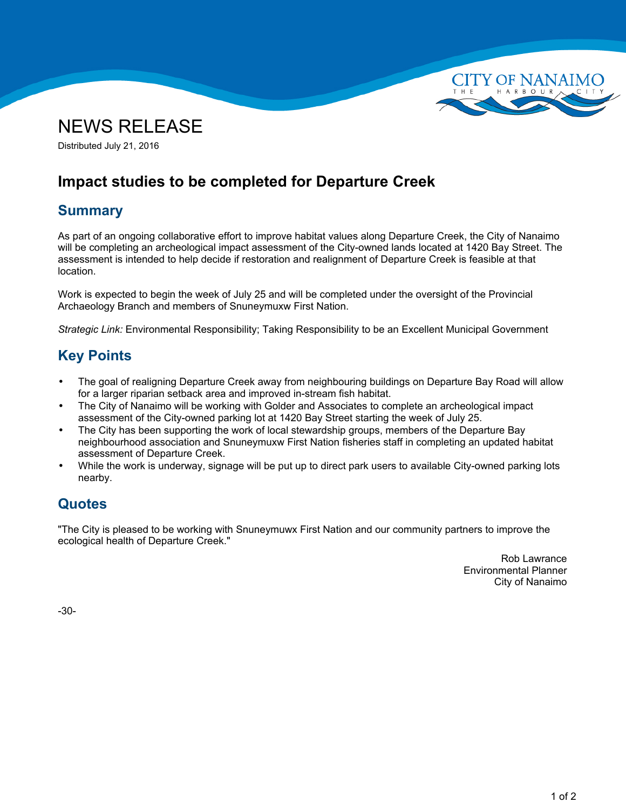



Distributed July 21, 2016

# **Impact studies to be completed for Departure Creek**

## **Summary**

As part of an ongoing collaborative effort to improve habitat values along Departure Creek, the City of Nanaimo will be completing an archeological impact assessment of the City-owned lands located at 1420 Bay Street. The assessment is intended to help decide if restoration and realignment of Departure Creek is feasible at that location.

Work is expected to begin the week of July 25 and will be completed under the oversight of the Provincial Archaeology Branch and members of Snuneymuxw First Nation.

*Strategic Link:* Environmental Responsibility; Taking Responsibility to be an Excellent Municipal Government

## **Key Points**

- • The goal of realigning Departure Creek away from neighbouring buildings on Departure Bay Road will allow for <sup>a</sup> larger riparian setback area and improved in-stream fish habitat.
- • The City of Nanaimo will be working with Golder and Associates to complete an archeological impact assessment of the City-owned parking lot at 1420 Bay Street starting the week of July 25.
- • The City has been supporting the work of local stewardship groups, members of the Departure Bay neighbourhood association and Snuneymuxw First Nation fisheries staff in completing an updated habitat assessment of Departure Creek.
- • While the work is underway, signage will be put up to direct park users to available City-owned parking lots nearby.

## **Quotes**

"The City is pleased to be working with Snuneymuwx First Nation and our community partners to improve the ecological health of Departure Creek."

> Rob Lawrance Environmental Planner City of Nanaimo

-30-